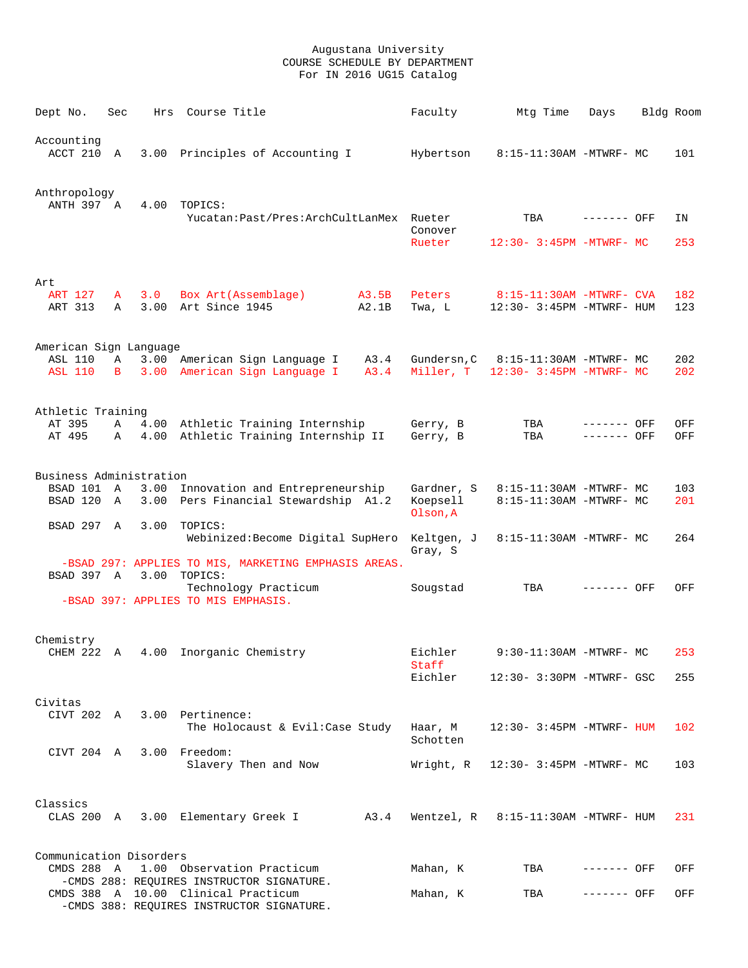| Dept No.                   | Sec    |      | Hrs Course Title                                                                 | Faculty                 | Mtg Time                                              | Days                       | Bldg Room  |
|----------------------------|--------|------|----------------------------------------------------------------------------------|-------------------------|-------------------------------------------------------|----------------------------|------------|
| Accounting<br>ACCT 210 A   |        |      | 3.00 Principles of Accounting I                                                  | Hybertson               | 8:15-11:30AM -MTWRF- MC                               |                            | 101        |
| Anthropology<br>ANTH 397 A |        | 4.00 | TOPICS:<br>Yucatan: Past/Pres: ArchCultLanMex Rueter                             | Conover                 | TBA                                                   | ------- OFF                | ΙN         |
|                            |        |      |                                                                                  | Rueter                  | $12:30 - 3:45PM - MTWRF - MC$                         |                            | 253        |
| Art<br>ART 127<br>ART 313  | A<br>Α | 3.0  | Box Art (Assemblage)<br>A3.5B<br>3.00 Art Since 1945<br>A2.1B                    | Peters<br>Twa, L        | 8:15-11:30AM -MTWRF- CVA<br>12:30- 3:45PM -MTWRF- HUM |                            | 182<br>123 |
| American Sign Language     |        |      |                                                                                  |                         |                                                       |                            |            |
| ASL 110<br><b>ASL 110</b>  | Α<br>B |      | 3.00 American Sign Language I<br>A3.4<br>3.00 American Sign Language I<br>A3.4   | Gundersn,C<br>Miller. T | 8:15-11:30AM -MTWRF- MC<br>12:30- 3:45PM -MTWRF- MC   |                            | 202<br>202 |
| Athletic Training          |        |      |                                                                                  |                         |                                                       |                            |            |
| AT 395<br>AT 495           | Α<br>Α | 4.00 | Athletic Training Internship<br>4.00 Athletic Training Internship II             | Gerry, B<br>Gerry, B    | TBA<br>TBA                                            | ------- OFF<br>------- OFF | OFF<br>OFF |
| Business Administration    |        |      |                                                                                  |                         |                                                       |                            |            |
| BSAD 101                   | A      | 3.00 | Innovation and Entrepreneurship                                                  | Gardner, S              | 8:15-11:30AM -MTWRF- MC                               |                            | 103        |
| BSAD 120                   | A      | 3.00 | Pers Financial Stewardship A1.2                                                  | Koepsell<br>Olson, A    | 8:15-11:30AM -MTWRF- MC                               |                            | 201        |
| BSAD 297 A                 |        | 3.00 | TOPICS:<br>Webinized: Become Digital SupHero                                     | Keltgen, J<br>Gray, S   | 8:15-11:30AM -MTWRF- MC                               |                            | 264        |
|                            |        |      | -BSAD 297: APPLIES TO MIS, MARKETING EMPHASIS AREAS.                             |                         |                                                       |                            |            |
| BSAD 397 A                 |        | 3.00 | TOPICS:<br>Technology Practicum                                                  | Sougstad                | TBA                                                   | ------- OFF                | OFF        |
|                            |        |      | -BSAD 397: APPLIES TO MIS EMPHASIS.                                              |                         |                                                       |                            |            |
| Chemistry<br>CHEM 222 A    |        |      |                                                                                  |                         | 9:30-11:30AM -MTWRF- MC                               |                            | 253        |
|                            |        |      | 4.00 Inorganic Chemistry                                                         | Eichler<br>Staff        |                                                       |                            |            |
|                            |        |      |                                                                                  | Eichler                 | 12:30- 3:30PM -MTWRF- GSC                             |                            | 255        |
| Civitas                    |        |      |                                                                                  |                         |                                                       |                            |            |
|                            |        |      | $CIVT 202 A 3.00$ Pertinence:<br>The Holocaust & Evil: Case Study                | Haar, M<br>Schotten     | 12:30- 3:45PM -MTWRF- HUM                             |                            | 102        |
| CIVT 204 A 3.00 Freedom:   |        |      | Slavery Then and Now                                                             |                         | Wright, $R = 12:30 - 3:45PM - MTWRF - MC$             |                            | 103        |
| Classics                   |        |      |                                                                                  |                         |                                                       |                            |            |
|                            |        |      | CLAS 200 A 3.00 Elementary Greek I A3.4                                          |                         | Wentzel, R 8:15-11:30AM -MTWRF- HUM                   |                            | 231        |
| Communication Disorders    |        |      |                                                                                  |                         |                                                       |                            |            |
|                            |        |      | CMDS 288 A 1.00 Observation Practicum                                            | Mahan, K                | TBA                                                   | ------- OFF                | OFF        |
|                            |        |      | -CMDS 288: REQUIRES INSTRUCTOR SIGNATURE.<br>CMDS 388 A 10.00 Clinical Practicum | Mahan, K                | TBA                                                   | ------- OFF                | OFF        |
|                            |        |      | -CMDS 388: REQUIRES INSTRUCTOR SIGNATURE.                                        |                         |                                                       |                            |            |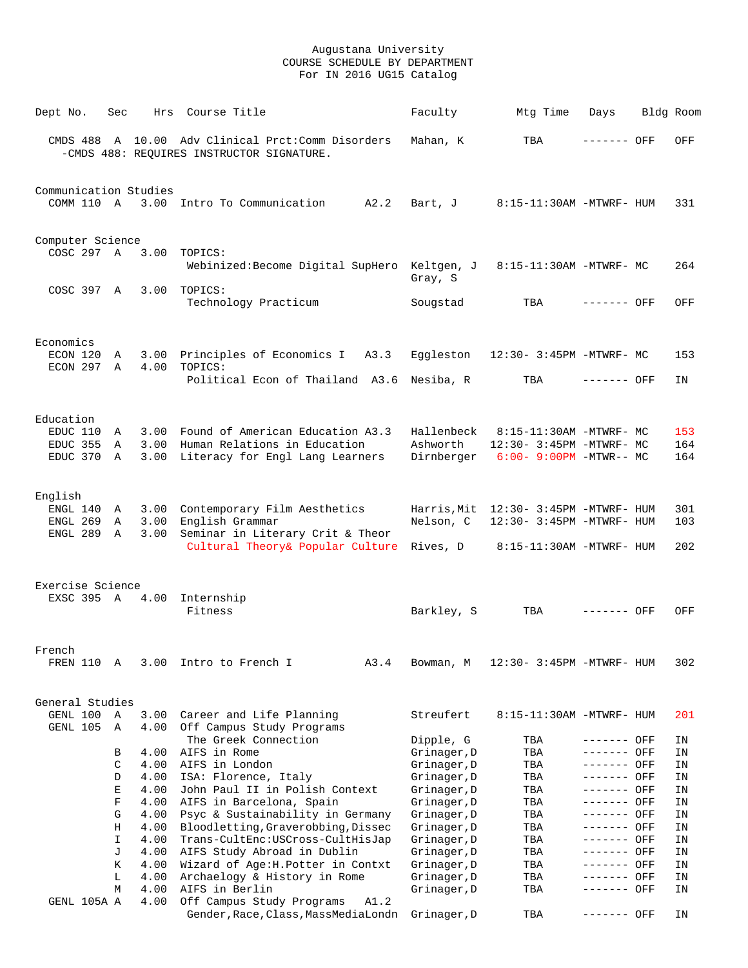| Dept No.                            | Sec    | Hrs          | Course Title                                                                                   | Faculty                    | Mtg Time                                                           | Days                       | Bldg Room |            |
|-------------------------------------|--------|--------------|------------------------------------------------------------------------------------------------|----------------------------|--------------------------------------------------------------------|----------------------------|-----------|------------|
|                                     |        |              | CMDS 488 A 10.00 Adv Clinical Prct:Comm Disorders<br>-CMDS 488: REQUIRES INSTRUCTOR SIGNATURE. | Mahan, K                   | TBA                                                                | ------- OFF                |           | OFF        |
| Communication Studies<br>COMM 110 A |        |              | 3.00 Intro To Communication<br>A2.2                                                            | Bart, J                    | 8:15-11:30AM -MTWRF- HUM                                           |                            |           | 331        |
| Computer Science                    |        |              |                                                                                                |                            |                                                                    |                            |           |            |
| COSC 297 A                          |        | 3.00         | TOPICS:<br>Webinized: Become Digital SupHero Keltgen, J                                        | Gray, S                    | 8:15-11:30AM -MTWRF- MC                                            |                            |           | 264        |
| COSC 397 A                          |        | 3.00         | TOPICS:<br>Technology Practicum                                                                | Sougstad                   | TBA                                                                | ------- OFF                |           | OFF        |
| Economics                           |        |              |                                                                                                |                            |                                                                    |                            |           |            |
| ECON 120<br>ECON 297 A              | A      | 3.00<br>4.00 | Principles of Economics I<br>A3.3<br>TOPICS:                                                   | Eggleston                  | 12:30- 3:45PM -MTWRF- MC                                           |                            |           | 153        |
|                                     |        |              | Political Econ of Thailand A3.6 Nesiba, R                                                      |                            | TBA                                                                | ------- OFF                |           | ΙN         |
| Education                           |        |              |                                                                                                |                            |                                                                    |                            |           |            |
| EDUC 110<br>EDUC 355                | A<br>A | 3.00<br>3.00 | Found of American Education A3.3<br>Human Relations in Education                               | Hallenbeck<br>Ashworth     | 8:15-11:30AM -MTWRF- MC<br>12:30- 3:45PM -MTWRF- MC                |                            |           | 153<br>164 |
| EDUC 370                            | A      | 3.00         | Literacy for Engl Lang Learners                                                                | Dirnberger                 | $6:00 - 9:00PM - MTWR - MCN$                                       |                            |           | 164        |
|                                     |        |              |                                                                                                |                            |                                                                    |                            |           |            |
| English                             |        |              |                                                                                                |                            |                                                                    |                            |           |            |
| ENGL 140<br>ENGL 269                | A<br>Α | 3.00<br>3.00 | Contemporary Film Aesthetics<br>English Grammar                                                | Nelson, C                  | Harris, Mit 12:30- 3:45PM -MTWRF- HUM<br>12:30- 3:45PM -MTWRF- HUM |                            |           | 301<br>103 |
| ENGL 289                            | A      | 3.00         | Seminar in Literary Crit & Theor<br>Cultural Theory& Popular Culture                           | Rives, D                   | 8:15-11:30AM -MTWRF- HUM                                           |                            |           | 202        |
|                                     |        |              |                                                                                                |                            |                                                                    |                            |           |            |
| Exercise Science<br>EXSC 395 A      |        | 4.00         | Internship                                                                                     |                            |                                                                    |                            |           |            |
|                                     |        |              | Fitness                                                                                        | Barkley, S                 | TBA                                                                | ------- OFF                |           | OFF        |
| French                              |        |              |                                                                                                |                            |                                                                    |                            |           |            |
| FREN 110                            | Α      | 3.00         | Intro to French I<br>A3.4                                                                      | Bowman, M                  | 12:30- 3:45PM -MTWRF- HUM                                          |                            |           | 302        |
| General Studies                     |        |              |                                                                                                |                            |                                                                    |                            |           |            |
| GENL 100                            | Α      | 3.00         | Career and Life Planning                                                                       | Streufert                  | 8:15-11:30AM -MTWRF- HUM                                           |                            |           | 201        |
| GENL 105                            | Α      | 4.00         | Off Campus Study Programs<br>The Greek Connection                                              | Dipple, G                  | TBA                                                                | ------- OFF                |           | ΙN         |
|                                     | В      | 4.00         | AIFS in Rome                                                                                   | Grinager, D                | TBA                                                                | ------- OFF                |           | ΙN         |
|                                     | C      | 4.00         | AIFS in London                                                                                 | Grinager, D                | TBA                                                                | ------- OFF                |           | ΙN         |
|                                     | D<br>Е | 4.00<br>4.00 | ISA: Florence, Italy<br>John Paul II in Polish Context                                         | Grinager, D<br>Grinager, D | TBA<br>TBA                                                         | ------- OFF<br>------- OFF |           | ΙN<br>ΙN   |
|                                     | F      | 4.00         | AIFS in Barcelona, Spain                                                                       | Grinager, D                | TBA                                                                | ------- OFF                |           | ΙN         |
|                                     | G      | 4.00         | Psyc & Sustainability in Germany                                                               | Grinager, D                | TBA                                                                | ------- OFF                |           | ΙN         |
|                                     | Η      | 4.00         | Bloodletting, Graverobbing, Dissec                                                             | Grinager, D                | TBA                                                                | ------- OFF                |           | ΙN         |
|                                     | I      | 4.00         | Trans-CultEnc:USCross-CultHisJap                                                               | Grinager, D                | TBA                                                                | ------- OFF                |           | ΙN         |
|                                     | J      | 4.00         | AIFS Study Abroad in Dublin                                                                    | Grinager, D                | TBA                                                                | ------- OFF                |           | ΙN         |
|                                     | Κ<br>L | 4.00<br>4.00 | Wizard of Age: H. Potter in Contxt<br>Archaelogy & History in Rome                             | Grinager, D<br>Grinager, D | TBA<br>TBA                                                         | ------- OFF<br>------- OFF |           | ΙN<br>ΙN   |
|                                     | М      | 4.00         | AIFS in Berlin                                                                                 | Grinager, D                | TBA                                                                | ------- OFF                |           | ΙN         |
| GENL 105A A                         |        | 4.00         | Off Campus Study Programs<br>A1.2                                                              |                            |                                                                    |                            |           |            |
|                                     |        |              | Gender, Race, Class, MassMediaLondn                                                            | Grinager, D                | TBA                                                                | ------- OFF                |           | ΙN         |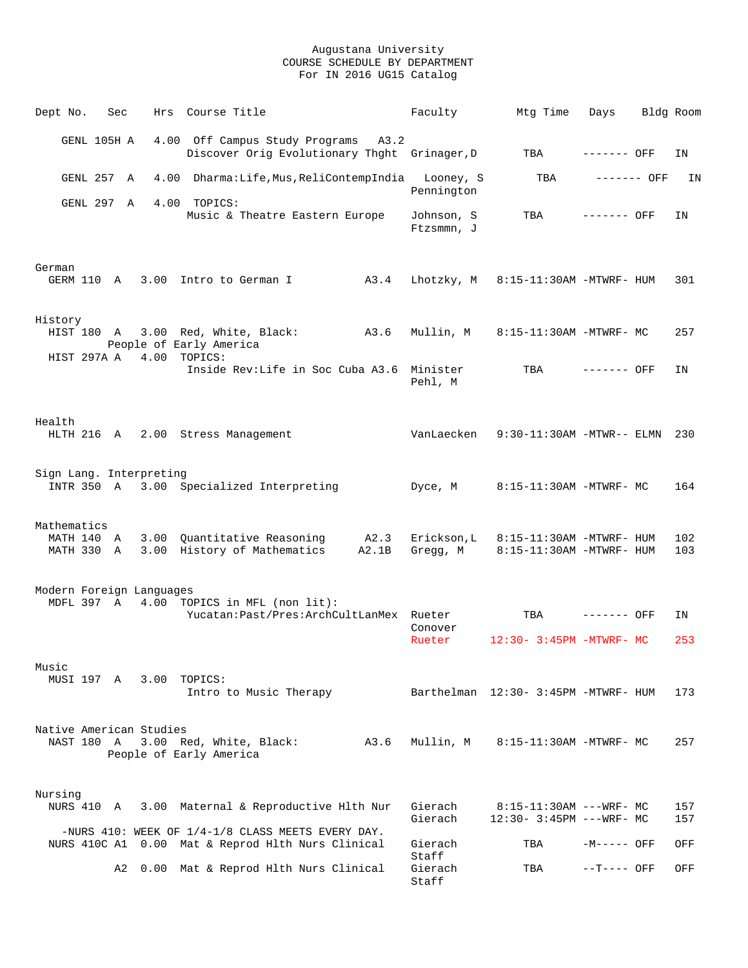| Dept No.                               | Sec         | Hrs                     | Course Title                                                                        | Faculty                  | Mtg Time                                               | Days         |             | Bldg Room  |
|----------------------------------------|-------------|-------------------------|-------------------------------------------------------------------------------------|--------------------------|--------------------------------------------------------|--------------|-------------|------------|
|                                        | GENL 105H A |                         | 4.00 Off Campus Study Programs A3.2<br>Discover Orig Evolutionary Thght Grinager, D |                          | TBA                                                    | ------- OFF  |             | IN         |
|                                        | GENL 257 A  |                         | 4.00 Dharma:Life, Mus, ReliContempIndia                                             | Looney, S                | TBA                                                    |              | ------- OFF | ΙN         |
|                                        | GENL 297 A  |                         | 4.00 TOPICS:                                                                        | Pennington               |                                                        |              |             |            |
|                                        |             |                         | Music & Theatre Eastern Europe                                                      | Johnson, S<br>Ftzsmmn, J | TBA                                                    | $------$ OFF |             | ΙN         |
| German                                 |             |                         |                                                                                     |                          |                                                        |              |             |            |
| GERM 110 A                             |             |                         | 3.00 Intro to German I<br>A3.4                                                      | Lhotzky, M               | 8:15-11:30AM -MTWRF- HUM                               |              |             | 301        |
| History                                |             |                         |                                                                                     |                          |                                                        |              |             |            |
|                                        |             |                         | HIST 180 A 3.00 Red, White, Black:<br>A3.6<br>People of Early America               | Mullin, M                | 8:15-11:30AM -MTWRF- MC                                |              |             | 257        |
| HIST 297A A                            |             | 4.00                    | TOPICS:<br>Inside Rev:Life in Soc Cuba A3.6 Minister                                | Pehl, M                  | TBA                                                    | ------- OFF  |             | ΙN         |
|                                        |             |                         |                                                                                     |                          |                                                        |              |             |            |
| Health<br>HLTH 216 A                   |             |                         | 2.00 Stress Management                                                              | VanLaecken               | $9:30-11:30$ AM -MTWR-- ELMN                           |              |             | 230        |
| Sign Lang. Interpreting                |             |                         |                                                                                     |                          |                                                        |              |             |            |
|                                        |             |                         | INTR 350 A 3.00 Specialized Interpreting                                            | Dyce, M                  | 8:15-11:30AM -MTWRF- MC                                |              |             | 164        |
| Mathematics                            |             |                         |                                                                                     |                          |                                                        |              |             |            |
| MATH 140 A<br>MATH 330 A               |             | 3.00                    | A2.3<br>Quantitative Reasoning<br>3.00 History of Mathematics<br>A2.1B              | Erickson, L<br>Gregg, M  | 8:15-11:30AM -MTWRF- HUM<br>8:15-11:30AM -MTWRF- HUM   |              |             | 102<br>103 |
|                                        |             |                         |                                                                                     |                          |                                                        |              |             |            |
| Modern Foreign Languages<br>MDFL 397 A |             |                         | 4.00 TOPICS in MFL (non lit):                                                       |                          |                                                        |              |             |            |
|                                        |             |                         | Yucatan: Past/Pres: ArchCultLanMex Rueter                                           |                          | TBA                                                    | ------- OFF  |             | ΙN         |
|                                        |             |                         |                                                                                     | Conover<br>Rueter        | $12:30 - 3:45PM - MTWRF - MC$                          |              |             | 253        |
| Music                                  |             |                         |                                                                                     |                          |                                                        |              |             |            |
|                                        |             | MUSI 197 A 3.00 TOPICS: | Intro to Music Therapy                                                              |                          | Barthelman 12:30- 3:45PM -MTWRF- HUM                   |              |             | 173        |
|                                        |             |                         |                                                                                     |                          |                                                        |              |             |            |
| Native American Studies<br>NAST 180 A  |             |                         | 3.00 Red, White, Black:<br>A3.6<br>People of Early America                          | Mullin, M                | 8:15-11:30AM -MTWRF- MC                                |              |             | 257        |
|                                        |             |                         |                                                                                     |                          |                                                        |              |             |            |
| Nursing<br>NURS 410 A                  |             |                         | 3.00 Maternal & Reproductive Hlth Nur                                               | Gierach<br>Gierach       | $8:15-11:30AM$ ---WRF- MC<br>12:30- 3:45PM --- WRF- MC |              |             | 157<br>157 |
|                                        |             |                         | -NURS 410: WEEK OF $1/4-1/8$ CLASS MEETS EVERY DAY.                                 |                          |                                                        |              |             |            |
|                                        |             |                         | NURS 410C A1 0.00 Mat & Reprod Hlth Nurs Clinical                                   | Gierach<br>Staff         | TBA                                                    | $-M---$ OFF  |             | OFF        |
|                                        | A2          |                         | 0.00 Mat & Reprod Hlth Nurs Clinical                                                | Gierach<br>Staff         | TBA                                                    | $--T---$ OFF |             | OFF        |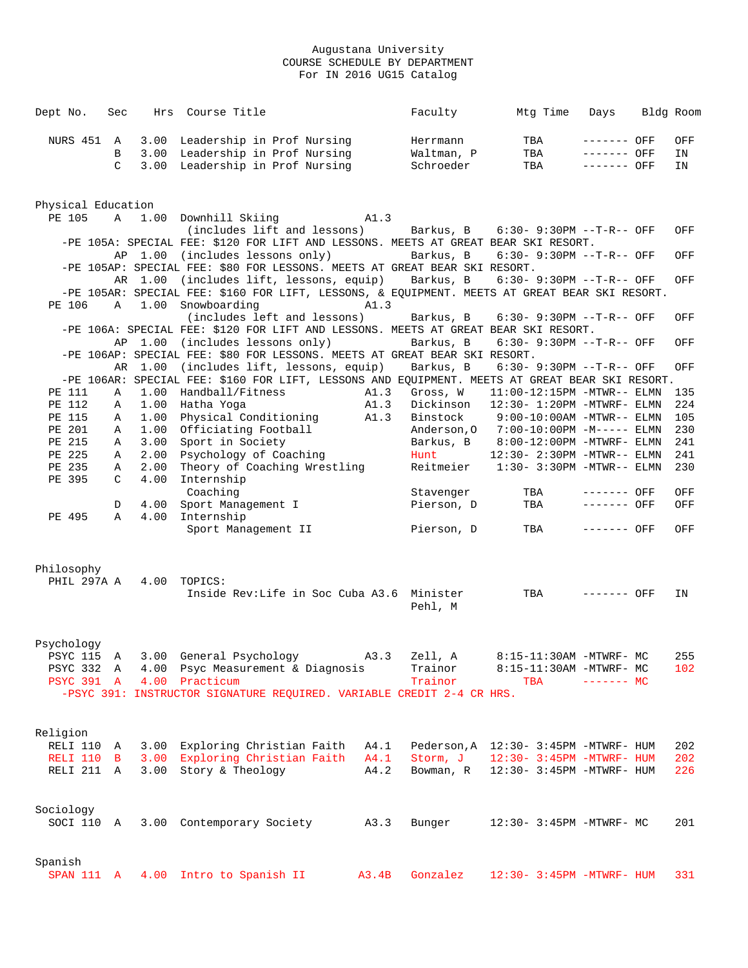| Dept No. Sec |  | Hrs Course Title                           | Faculty    | Mta Time | Days         | Bldg Room |
|--------------|--|--------------------------------------------|------------|----------|--------------|-----------|
|              |  | NURS 451 A 3.00 Leadership in Prof Nursing | Herrmann   | TBA      | ------- OFF  | OFF       |
|              |  | B 3.00 Leadership in Prof Nursing          | Waltman, P | TBA      | $------$ OFF | IN        |
|              |  | C 3.00 Leadership in Prof Nursing          | Schroeder  | TBA      | ------- OFF  | IN        |
|              |  |                                            |            |          |              |           |

|                           | Physical Education |         |                                                                                                |       |            |                                       |              |     |
|---------------------------|--------------------|---------|------------------------------------------------------------------------------------------------|-------|------------|---------------------------------------|--------------|-----|
| PE 105                    | A                  |         | 1.00 Downhill Skiing                                                                           | A1.3  |            |                                       |              |     |
|                           |                    |         | (includes lift and lessons)                                                                    |       |            | Barkus, B 6:30- 9:30PM --T-R-- OFF    |              | OFF |
|                           |                    |         | -PE 105A: SPECIAL FEE: \$120 FOR LIFT AND LESSONS. MEETS AT GREAT BEAR SKI RESORT.             |       |            |                                       |              |     |
|                           |                    | AP 1.00 | (includes lessons only)                                                                        |       | Barkus, B  | $6:30 - 9:30PM -T-R--OFF$             |              | OFF |
|                           |                    |         | -PE 105AP: SPECIAL FEE: \$80 FOR LESSONS. MEETS AT GREAT BEAR SKI RESORT.                      |       |            |                                       |              |     |
|                           |                    |         | AR 1.00 (includes lift, lessons, equip) Barkus, B                                              |       |            | $6:30 - 9:30PM -T-R--OFF$             |              | OFF |
|                           |                    |         | -PE 105AR: SPECIAL FEE: \$160 FOR LIFT, LESSONS, & EQUIPMENT. MEETS AT GREAT BEAR SKI RESORT.  |       |            |                                       |              |     |
| PE 106                    | $\mathbb A$        |         | 1.00 Snowboarding                                                                              | A1.3  |            |                                       |              |     |
|                           |                    |         | (includes left and lessons)                                                                    |       | Barkus, B  | $6:30 - 9:30PM -T-R--OFF$             |              | OFF |
|                           |                    |         | -PE 106A: SPECIAL FEE: \$120 FOR LIFT AND LESSONS. MEETS AT GREAT BEAR SKI RESORT.             |       |            |                                       |              |     |
|                           |                    |         | AP 1.00 (includes lessons only)                                                                |       | Barkus, B  | $6:30 - 9:30PM -T-R--OFF$             |              | OFF |
|                           |                    |         | -PE 106AP: SPECIAL FEE: \$80 FOR LESSONS. MEETS AT GREAT BEAR SKI RESORT.                      |       |            |                                       |              |     |
|                           | AR                 | 1.00    | (includes lift, lessons, equip)                                                                |       | Barkus, B  | $6:30 - 9:30PM -T-R--OFF$             |              | OFF |
|                           |                    |         | -PE 106AR: SPECIAL FEE: \$160 FOR LIFT, LESSONS AND EQUIPMENT. MEETS AT GREAT BEAR SKI RESORT. |       |            |                                       |              |     |
| PE 111                    | A                  | 1.00    | Handball/Fitness                                                                               | A1.3  | Gross, W   | $11:00-12:15PM -MTWR-- ELMN$          |              | 135 |
| PE 112                    | Α                  | 1.00    | Hatha Yoga                                                                                     | A1.3  | Dickinson  | $12:30 - 1:20PM - MTWRF - ELMN$       |              | 224 |
| PE 115                    | Α                  | 1.00    | Physical Conditioning A1.3                                                                     |       |            | Binstock 9:00-10:00AM -MTWR-- ELMN    |              | 105 |
| PE 201                    | Α                  | 1.00    | Officiating Football                                                                           |       |            | Anderson, 0 7:00-10:00PM -M----- ELMN |              | 230 |
| PE 215                    | Α                  | 3.00    | Sport in Society                                                                               |       |            | Barkus, B 8:00-12:00PM -MTWRF- ELMN   |              | 241 |
| PE 225                    | Α                  | 2.00    | Psychology of Coaching                                                                         |       | Hunt       | 12:30- 2:30PM -MTWR-- ELMN            |              | 241 |
| PE 235                    | Α                  | 2.00    | Theory of Coaching Wrestling                                                                   |       |            | Reitmeier 1:30- 3:30PM -MTWR-- ELMN   |              | 230 |
| PE 395                    | C                  | 4.00    | Internship                                                                                     |       |            |                                       |              |     |
|                           |                    |         | Coaching                                                                                       |       |            |                                       | ------- OFF  |     |
|                           |                    |         |                                                                                                |       | Stavenger  | TBA                                   |              | OFF |
|                           | D                  | 4.00    | Sport Management I                                                                             |       | Pierson, D | TBA                                   | $------$ OFF | OFF |
| PE 495                    | A                  | 4.00    | Internship                                                                                     |       |            |                                       |              |     |
|                           |                    |         | Sport Management II                                                                            |       | Pierson, D | TBA                                   | ------- OFF  | OFF |
|                           |                    |         |                                                                                                |       |            |                                       |              |     |
| Philosophy<br>PHIL 297A A |                    |         | 4.00 TOPICS:<br>Inside Rev:Life in Soc Cuba A3.6 Minister                                      |       |            | TBA ------- OFF                       |              | IN  |
|                           |                    |         |                                                                                                |       | Pehl, M    |                                       |              |     |
| Psychology                |                    |         |                                                                                                |       |            |                                       |              |     |
| PSYC 115 A                |                    |         | 3.00 General Psychology A3.3                                                                   |       | Zell, A    | 8:15-11:30AM -MTWRF- MC               |              | 255 |
| PSYC 332                  | $\mathbf{A}$       | 4.00    | Psyc Measurement & Diagnosis                                                                   |       | Trainor    | 8:15-11:30AM -MTWRF- MC               |              | 102 |
| <b>PSYC 391 A</b>         |                    | 4.00    | Practicum                                                                                      |       | Trainor    | TBA                                   | $------$ MC  |     |
|                           |                    |         | -PSYC 391: INSTRUCTOR SIGNATURE REQUIRED. VARIABLE CREDIT 2-4 CR HRS.                          |       |            |                                       |              |     |
|                           |                    |         |                                                                                                |       |            |                                       |              |     |
|                           |                    |         |                                                                                                |       |            |                                       |              |     |
| Religion                  |                    |         |                                                                                                |       |            |                                       |              |     |
| RELI 110 A                |                    |         | 3.00 Exploring Christian Faith A4.1 Pederson, A 12:30-3:45PM -MTWRF- HUM                       |       |            |                                       |              | 202 |
| RELI 110                  | $\mathbf{B}$       |         | 3.00 Exploring Christian Faith                                                                 | A4.1  | Storm, J   | 12:30- 3:45PM -MTWRF- HUM             |              | 202 |
| RELI 211 A                |                    |         | 3.00 Story & Theology                                                                          | A4.2  | Bowman, R  | 12:30- 3:45PM -MTWRF- HUM             |              | 226 |
|                           |                    |         |                                                                                                |       |            |                                       |              |     |
|                           |                    |         |                                                                                                |       |            |                                       |              |     |
|                           |                    |         |                                                                                                |       |            |                                       |              |     |
| Sociology                 |                    |         |                                                                                                |       |            |                                       |              |     |
| SOCI 110 A                |                    |         | 3.00 Contemporary Society                                                                      | A3.3  | Bunger     | 12:30- 3:45PM -MTWRF- MC              |              | 201 |
|                           |                    |         |                                                                                                |       |            |                                       |              |     |
|                           |                    |         |                                                                                                |       |            |                                       |              |     |
| Spanish<br>SPAN 111 A     |                    |         | 4.00 Intro to Spanish II                                                                       | A3.4B | Gonzalez   | 12:30- 3:45PM -MTWRF- HUM             |              | 331 |